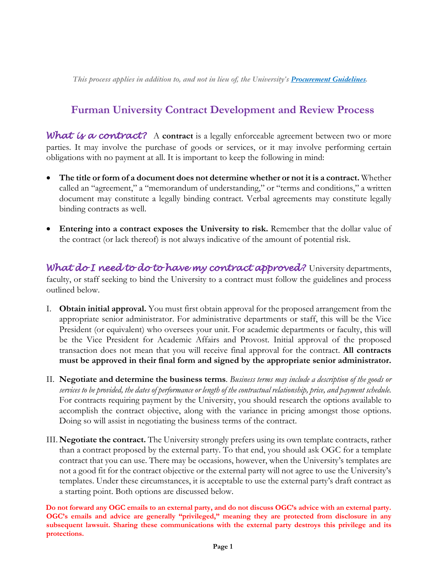*This process applies in addition to, and not in lieu of, the University'[s Procurement Guidelines.](https://www.furman.edu/offices-services/procurement-services/wp-content/uploads/sites/135/2019/11/3-2015-Procurement-Guidelines.pdf)*

# **Furman University Contract Development and Review Process**

What is a contract? A contract is a legally enforceable agreement between two or more parties. It may involve the purchase of goods or services, or it may involve performing certain obligations with no payment at all. It is important to keep the following in mind:

- **The title or form of a document does not determine whether or not it is a contract.** Whether called an "agreement," a "memorandum of understanding," or "terms and conditions," a written document may constitute a legally binding contract. Verbal agreements may constitute legally binding contracts as well.
- **Entering into a contract exposes the University to risk.** Remember that the dollar value of the contract (or lack thereof) is not always indicative of the amount of potential risk.

*What do I need to do to have my contract approved?* University departments, faculty, or staff seeking to bind the University to a contract must follow the guidelines and process outlined below.

- I. **Obtain initial approval.** You must first obtain approval for the proposed arrangement from the appropriate senior administrator. For administrative departments or staff, this will be the Vice President (or equivalent) who oversees your unit. For academic departments or faculty, this will be the Vice President for Academic Affairs and Provost. Initial approval of the proposed transaction does not mean that you will receive final approval for the contract. **All contracts must be approved in their final form and signed by the appropriate senior administrator.**
- II. **Negotiate and determine the business terms**. *Business terms may include a description of the goods or services to be provided, the dates of performance or length of the contractual relationship, price, and payment schedule.* For contracts requiring payment by the University, you should research the options available to accomplish the contract objective, along with the variance in pricing amongst those options. Doing so will assist in negotiating the business terms of the contract.
- III. **Negotiate the contract.** The University strongly prefers using its own template contracts, rather than a contract proposed by the external party. To that end, you should ask OGC for a template contract that you can use. There may be occasions, however, when the University's templates are not a good fit for the contract objective or the external party will not agree to use the University's templates. Under these circumstances, it is acceptable to use the external party's draft contract as a starting point. Both options are discussed below.

**Do not forward any OGC emails to an external party, and do not discuss OGC's advice with an external party. OGC's emails and advice are generally "privileged," meaning they are protected from disclosure in any subsequent lawsuit. Sharing these communications with the external party destroys this privilege and its protections.**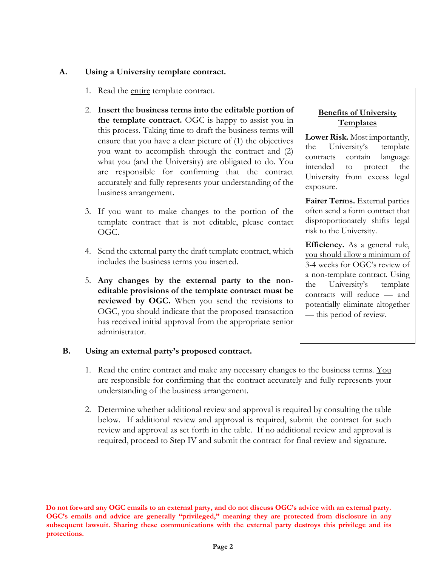#### **A. Using a University template contract.**

- 1. Read the entire template contract.
- 2. **Insert the business terms into the editable portion of the template contract.** OGC is happy to assist you in this process. Taking time to draft the business terms will ensure that you have a clear picture of (1) the objectives you want to accomplish through the contract and (2) what you (and the University) are obligated to do. You are responsible for confirming that the contract accurately and fully represents your understanding of the business arrangement.
- 3. If you want to make changes to the portion of the template contract that is not editable, please contact OGC.
- 4. Send the external party the draft template contract, which includes the business terms you inserted.
- 5. **Any changes by the external party to the noneditable provisions of the template contract must be reviewed by OGC.** When you send the revisions to OGC, you should indicate that the proposed transaction has received initial approval from the appropriate senior administrator.

### **B. Using an external party's proposed contract.**

- 1. Read the entire contract and make any necessary changes to the business terms. You are responsible for confirming that the contract accurately and fully represents your understanding of the business arrangement.
- 2. Determine whether additional review and approval is required by consulting the table below. If additional review and approval is required, submit the contract for such review and approval as set forth in the table. If no additional review and approval is required, proceed to Step IV and submit the contract for final review and signature.

**Do not forward any OGC emails to an external party, and do not discuss OGC's advice with an external party. OGC's emails and advice are generally "privileged," meaning they are protected from disclosure in any subsequent lawsuit. Sharing these communications with the external party destroys this privilege and its protections.**

### **Benefits of University Templates**

**Lower Risk.** Most importantly, the University's template contracts contain language intended to protect the University from excess legal exposure.

**Fairer Terms.** External parties often send a form contract that disproportionately shifts legal risk to the University.

**Efficiency.** As a general rule, you should allow a minimum of 3-4 weeks for OGC's review of a non-template contract. Using the University's template contracts will reduce — and potentially eliminate altogether — this period of review.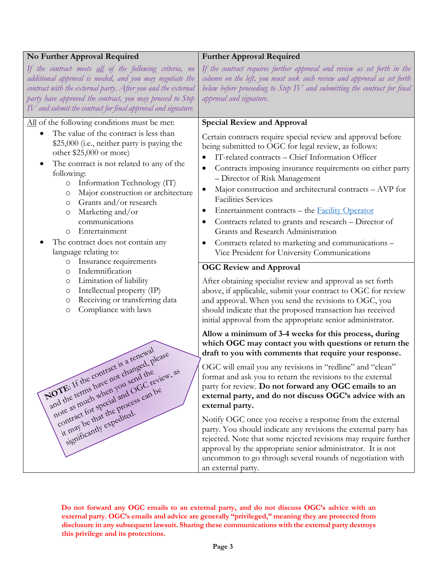### **No Further Approval Required**

*If the contract meets all of the following criteria, no additional approval is needed, and you may negotiate the contract with the external party. After you and the external party have approved the contract, you may proceed to Step IV and submit the contract for final approval and signature.*

All of the following conditions must be met:

- The value of the contract is less than \$25,000 (*i.e.*, neither party is paying the other \$25,000 or more)
- The contract is not related to any of the following:
	- o Information Technology (IT)
	- o Major construction or architecture
	- o Grants and/or research
	- o Marketing and/or communications
	- o Entertainment
- The contract does not contain any language relating to:
	- o Insurance requirements
	- o Indemnification
	- o Limitation of liability
	- o Intellectual property (IP)
	- o Receiving or transferring data
	- o Compliance with laws

NOTE: If the contract is a renewal and the terms have not changed, please and the return have the end the send the Live as much when you send the view, as contract we special and society. significantly expedited.

## **Further Approval Required**

*If the contract requires further approval and review as set forth in the column on the left, you must seek such review and approval as set forth below before proceeding to Step IV and submitting the contract for final approval and signature.*

### **Special Review and Approval**

Certain contracts require special review and approval before being submitted to OGC for legal review, as follows:

- IT-related contracts Chief Information Officer
- Contracts imposing insurance requirements on either party – Director of Risk Management
- Major construction and architectural contracts AVP for Facilities Services
- Entertainment contracts the [Facility Operator](https://catalog.furman.edu/content.php?catoid=13&navoid=604#space)
- Contracts related to grants and research Director of Grants and Research Administration
- Contracts related to marketing and communications Vice President for University Communications

### **OGC Review and Approval**

After obtaining specialist review and approval as set forth above, if applicable, submit your contract to OGC for review and approval. When you send the revisions to OGC, you should indicate that the proposed transaction has received initial approval from the appropriate senior administrator.

#### **Allow a minimum of 3-4 weeks for this process, during which OGC may contact you with questions or return the draft to you with comments that require your response.**

OGC will email you any revisions in "redline" and "clean" format and ask you to return the revisions to the external party for review. **Do not forward any OGC emails to an external party, and do not discuss OGC's advice with an external party.**

Notify OGC once you receive a response from the external party. You should indicate any revisions the external party has rejected. Note that some rejected revisions may require further approval by the appropriate senior administrator. It is not uncommon to go through several rounds of negotiation with an external party.

**Do not forward any OGC emails to an external party, and do not discuss OGC's advice with an external party. OGC's emails and advice are generally "privileged," meaning they are protected from disclosure in any subsequent lawsuit. Sharing these communications with the external party destroys this privilege and its protections.**